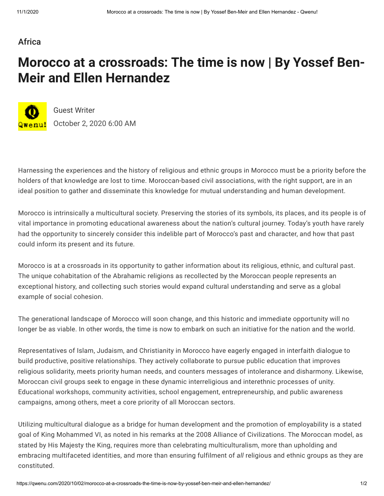## [Africa](https://qwenu.com/category/africa/)

## **Morocco at a crossroads: The time is now | By Yossef Ben-Meir and Ellen Hernandez**



[Guest Writer](https://qwenu.com/author/guest-writer/) October 2, 2020 6:00 AM

Harnessing the experiences and the history of religious and ethnic groups in Morocco must be a priority before the holders of that knowledge are lost to time. Moroccan-based civil associations, with the right support, are in an ideal position to gather and disseminate this knowledge for mutual understanding and human development.

Morocco is intrinsically a multicultural society. Preserving the stories of its symbols, its places, and its people is of vital importance in promoting educational awareness about the nation's cultural journey. Today's youth have rarely had the opportunity to sincerely consider this indelible part of Morocco's past and character, and how that past could inform its present and its future.

Morocco is at a crossroads in its opportunity to gather information about its religious, ethnic, and cultural past. The unique cohabitation of the Abrahamic religions as recollected by the Moroccan people represents an exceptional history, and collecting such stories would expand cultural understanding and serve as a global example of social cohesion.

The generational landscape of Morocco will soon change, and this historic and immediate opportunity will no longer be as viable. In other words, the time is now to embark on such an initiative for the nation and the world.

Representatives of Islam, Judaism, and Christianity in Morocco have eagerly engaged in interfaith dialogue to build productive, positive relationships. They actively collaborate to pursue public education that improves religious solidarity, meets priority human needs, and counters messages of intolerance and disharmony. Likewise, Moroccan civil groups seek to engage in these dynamic interreligious and interethnic processes of unity. Educational workshops, community activities, school engagement, entrepreneurship, and public awareness campaigns, among others, meet a core priority of all Moroccan sectors.

Utilizing multicultural dialogue as a bridge for human development and the promotion of employability is a stated goal of King Mohammed VI, as noted in his remarks at the 2008 Alliance of Civilizations. The Moroccan model, as stated by His Majesty the King, requires more than celebrating multiculturalism, more than upholding and embracing multifaceted identities, and more than ensuring fulfilment of *all* religious and ethnic groups as they are constituted.